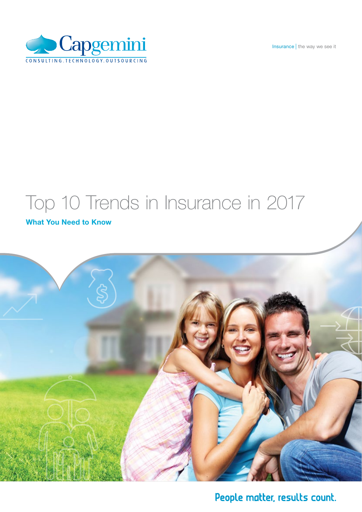Insurance | the way we see it



# Top 10 Trends in Insurance in 2017

## What You Need to Know



People matter, results count.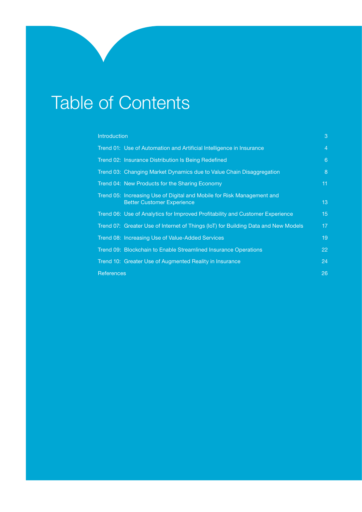# Table of Contents

### **[Introduction](#page-2-0)** 3 **Contract Contract Contract Contract Contract Contract Contract Contract Contract Contract Contract Contract Contract Contract Contract Contract Contract Contract Contract Contract Contract Contract Contra**

| Trend 01: Use of Automation and Artificial Intelligence in Insurance                                        | 4  |
|-------------------------------------------------------------------------------------------------------------|----|
| Trend 02: Insurance Distribution Is Being Redefined                                                         | 6  |
| Trend 03: Changing Market Dynamics due to Value Chain Disaggregation                                        | 8  |
| Trend 04: New Products for the Sharing Economy                                                              | 11 |
| Trend 05: Increasing Use of Digital and Mobile for Risk Management and<br><b>Better Customer Experience</b> | 13 |
| Trend 06: Use of Analytics for Improved Profitability and Customer Experience                               | 15 |
| Trend 07: Greater Use of Internet of Things (IoT) for Building Data and New Models                          | 17 |
| Trend 08: Increasing Use of Value-Added Services                                                            | 19 |
| Trend 09: Blockchain to Enable Streamlined Insurance Operations                                             | 22 |
| Trend 10: Greater Use of Augmented Reality in Insurance                                                     | 24 |
| <b>References</b>                                                                                           | 26 |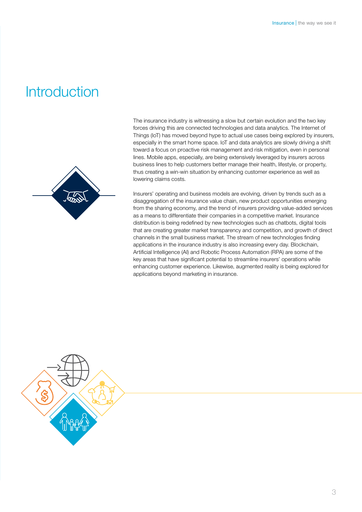## <span id="page-2-0"></span>**Introduction**



The insurance industry is witnessing a slow but certain evolution and the two key forces driving this are connected technologies and data analytics. The Internet of Things (IoT) has moved beyond hype to actual use cases being explored by insurers, especially in the smart home space. IoT and data analytics are slowly driving a shift toward a focus on proactive risk management and risk mitigation, even in personal lines. Mobile apps, especially, are being extensively leveraged by insurers across business lines to help customers better manage their health, lifestyle, or property, thus creating a win-win situation by enhancing customer experience as well as lowering claims costs.

Insurers' operating and business models are evolving, driven by trends such as a disaggregation of the insurance value chain, new product opportunities emerging from the sharing economy, and the trend of insurers providing value-added services as a means to differentiate their companies in a competitive market. Insurance distribution is being redefined by new technologies such as chatbots, digital tools that are creating greater market transparency and competition, and growth of direct channels in the small business market. The stream of new technologies finding applications in the insurance industry is also increasing every day. Blockchain, Artificial Intelligence (AI) and Robotic Process Automation (RPA) are some of the key areas that have significant potential to streamline insurers' operations while enhancing customer experience. Likewise, augmented reality is being explored for applications beyond marketing in insurance.

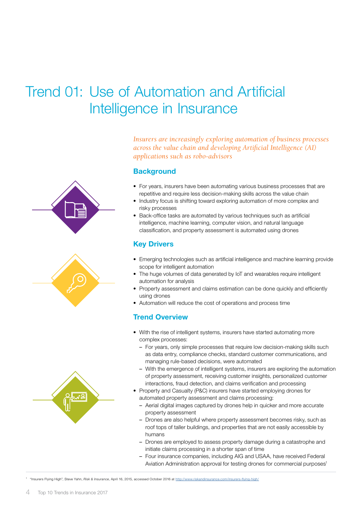## <span id="page-3-0"></span>Trend 01: Use of Automation and Artificial Intelligence in Insurance

*Insurers are increasingly exploring automation of business processes across the value chain and developing Artificial Intelligence (AI) applications such as robo-advisors*

### **Background**

- For years, insurers have been automating various business processes that are repetitive and require less decision-making skills across the value chain
- Industry focus is shifting toward exploring automation of more complex and risky processes
- Back-office tasks are automated by various techniques such as artificial intelligence, machine learning, computer vision, and natural language classification, and property assessment is automated using drones

## Key Drivers

- Emerging technologies such as artificial intelligence and machine learning provide scope for intelligent automation
- The huge volumes of data generated by IoT and wearables require intelligent automation for analysis
- Property assessment and claims estimation can be done quickly and efficiently using drones
- Automation will reduce the cost of operations and process time

## Trend Overview

- With the rise of intelligent systems, insurers have started automating more complex processes:
	- For years, only simple processes that require low decision-making skills such as data entry, compliance checks, standard customer communications, and managing rule-based decisions, were automated
	- With the emergence of intelligent systems, insurers are exploring the automation of property assessment, receiving customer insights, personalized customer interactions, fraud detection, and claims verification and processing
- Property and Casualty (P&C) insurers have started employing drones for automated property assessment and claims processing:
	- Aerial digital images captured by drones help in quicker and more accurate property assessment
	- Drones are also helpful where property assessment becomes risky, such as roof tops of taller buildings, and properties that are not easily accessible by humans
	- Drones are employed to assess property damage during a catastrophe and initiate claims processing in a shorter span of time
	- Four insurance companies, including AIG and USAA, have received Federal Aviation Administration approval for testing drones for commercial purposes<sup>1</sup>

<sup>1</sup> "Insurers Flying High", Steve Yahn, *Risk & Insurance*, April 16, 2015, accessed October 2016 at <http://www.riskandinsurance.com/insurers-flying-high/>

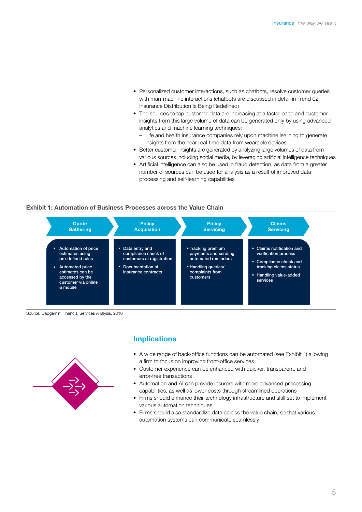- Personalized customer interactions, such as chatbots, resolve customer queries with man-machine interactions (chatbots are discussed in detail in Trend 02: Insurance Distribution Is Being Redefined)
- The sources to tap customer data are increasing at a faster pace and customer insights from this large volume of data can be generated only by using advanced analytics and machine learning techniques:
	- Life and health insurance companies rely upon machine learning to generate insights from the near real-time data from wearable devices
- Better customer insights are generated by analyzing large volumes of data from various sources including social media, by leveraging artificial intelligence techniques
- Artificial intelligence can also be used in fraud detection, as data from a greater number of sources can be used for analysis as a result of improved data processing and self-learning capabilities

#### Exhibit 1: Automation of Business Processes across the Value Chain

| Quote                                                                                                                                                               | <b>Policy</b>                                                                                                     | <b>Policy</b>                                                                                                            | <b>Claims</b>                                                                                                                               |
|---------------------------------------------------------------------------------------------------------------------------------------------------------------------|-------------------------------------------------------------------------------------------------------------------|--------------------------------------------------------------------------------------------------------------------------|---------------------------------------------------------------------------------------------------------------------------------------------|
| Gathering                                                                                                                                                           | <b>Acquisition</b>                                                                                                | <b>Servicing</b>                                                                                                         | <b>Servicing</b>                                                                                                                            |
| Automation of price<br>٠<br>estimates using<br>pre-defined rules<br>Automated price<br>٠.<br>estimates can be<br>accessed by the<br>customer via online<br>& mobile | • Data entry and<br>compliance check of<br>customers at registration<br>• Documentation of<br>insurance contracts | - Tracking premium<br>payments and sending<br>automated reminders<br>• Handling queries/<br>complaints from<br>customers | Claims notification and<br>п.<br>verification process<br>Compliance check and<br>tracking claims status<br>Handling value-added<br>services |

Source: Capgemini Financial Services Analysis, 2016



- A wide range of back-office functions can be automated (see Exhibit 1) allowing a firm to focus on improving front-office services
- Customer experience can be enhanced with quicker, transparent, and error-free transactions
- Automation and AI can provide insurers with more advanced processing capabilities, as well as lower costs through streamlined operations
- Firms should enhance their technology infrastructure and skill set to implement various automation techniques
- Firms should also standardize data across the value chain, so that various automation systems can communicate seamlessly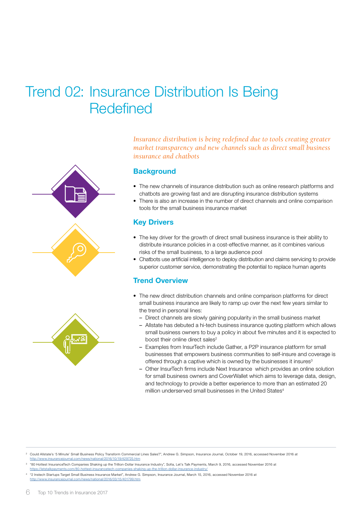## <span id="page-5-0"></span>Trend 02: Insurance Distribution Is Being **Redefined**





*Insurance distribution is being redefined due to tools creating greater market transparency and new channels such as direct small business insurance and chatbots*

### **Background**

- The new channels of insurance distribution such as online research platforms and chatbots are growing fast and are disrupting insurance distribution systems
- There is also an increase in the number of direct channels and online comparison tools for the small business insurance market

### **Key Drivers**

- The key driver for the growth of direct small business insurance is their ability to distribute insurance policies in a cost-effective manner, as it combines various risks of the small business, to a large audience pool
- Chatbots use artificial intelligence to deploy distribution and claims servicing to provide superior customer service, demonstrating the potential to replace human agents

### Trend Overview

- The new direct distribution channels and online comparison platforms for direct small business insurance are likely to ramp up over the next few years similar to the trend in personal lines:
	- Direct channels are slowly gaining popularity in the small business market
	- Allstate has debuted a hi-tech business insurance quoting platform which allows small business owners to buy a policy in about five minutes and it is expected to boost their online direct sales<sup>2</sup>
	- Examples from InsurTech include Gather, a P2P insurance platform for small businesses that empowers business communities to self-insure and coverage is offered through a captive which is owned by the businesses it insures<sup>3</sup>
	- Other InsurTech firms include Next Insurance which provides an online solution for small business owners and CoverWallet which aims to leverage data, design, and technology to provide a better experience to more than an estimated 20 million underserved small businesses in the United States<sup>4</sup>

<sup>3</sup> "80 Hottest InsuranceTech Companies Shaking up the Trillion-Dollar Insurance Industry", Sofia, Let's Talk Payments, March 9, 2016, accessed November 2016 at https://letstalkpayments.com/80-hottest-insurancetech-companies-shaking-up-the-trillion-dollar-insuran

<sup>2</sup> Could Allstate's '5 Minute' Small Business Policy Transform Commercial Lines Sales?", Andrew G. Simpson, Insurance Journal, October 19, 2016, accessed November 2016 at <http://www.insurancejournal.com/news/national/2016/10/19/429725.htm>

<sup>4</sup> "2 Instech Startups Target Small Business Insurance Market", Andrew G. Simpson, Insurance Journal, March 15, 2016, accessed November 2016 at <http://www.insurancejournal.com/news/national/2016/03/15/401799.htm>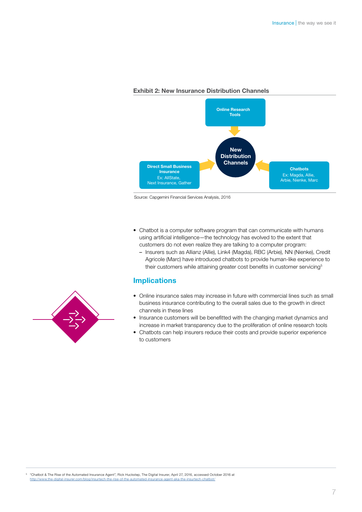

### Exhibit 2: New Insurance Distribution Channels

Source: Capgemini Financial Services Analysis, 2016

- Chatbot is a computer software program that can communicate with humans using artificial intelligence—the technology has evolved to the extent that customers do not even realize they are talking to a computer program:
	- Insurers such as Allianz (Allie), Link4 (Magda), RBC (Arbie), NN (Nienke), Credit Agricole (Marc) have introduced chatbots to provide human-like experience to their customers while attaining greater cost benefits in customer servicing<sup>5</sup>

## Implications

- Online insurance sales may increase in future with commercial lines such as small business insurance contributing to the overall sales due to the growth in direct channels in these lines
- Insurance customers will be benefitted with the changing market dynamics and increase in market transparency due to the proliferation of online research tools
- Chatbots can help insurers reduce their costs and provide superior experience to customers



<sup>5</sup> "Chatbot & The Rise of the Automated Insurance Agent", Rick Huckstep, The Digital Insurer, April 27, 2016, accessed October 2016 at http://www.the-digital-insurer.com/blog/insurtech-the-rise-of-the-automated-insurance-agent-aka-the-insurtech-chatbot/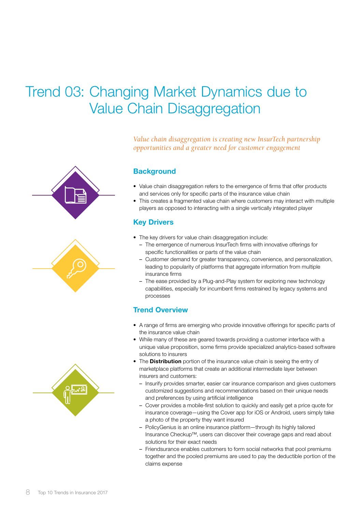## <span id="page-7-0"></span>Trend 03: Changing Market Dynamics due to Value Chain Disaggregation

*Value chain disaggregation is creating new InsurTech partnership opportunities and a greater need for customer engagement* 

## **Background**

- Value chain disaggregation refers to the emergence of firms that offer products and services only for specific parts of the insurance value chain
- This creates a fragmented value chain where customers may interact with multiple players as opposed to interacting with a single vertically integrated player

## **Key Drivers**

- The key drivers for value chain disaggregation include:
	- The emergence of numerous InsurTech firms with innovative offerings for specific functionalities or parts of the value chain
	- Customer demand for greater transparency, convenience, and personalization, leading to popularity of platforms that aggregate information from multiple insurance firms
	- The ease provided by a Plug-and-Play system for exploring new technology capabilities, especially for incumbent firms restrained by legacy systems and processes

## Trend Overview

- A range of firms are emerging who provide innovative offerings for specific parts of the insurance value chain
- While many of these are geared towards providing a customer interface with a unique value proposition, some firms provide specialized analytics-based software solutions to insurers
- The **Distribution** portion of the insurance value chain is seeing the entry of marketplace platforms that create an additional intermediate layer between insurers and customers:
	- Insurify provides smarter, easier car insurance comparison and gives customers customized suggestions and recommendations based on their unique needs and preferences by using artificial intelligence
	- Cover provides a mobile-first solution to quickly and easily get a price quote for insurance coverage—using the Cover app for iOS or Android, users simply take a photo of the property they want insured
	- PolicyGenius is an online insurance platform—through its highly tailored Insurance Checkup™, users can discover their coverage gaps and read about solutions for their exact needs
	- Friendsurance enables customers to form social networks that pool premiums together and the pooled premiums are used to pay the deductible portion of the claims expense

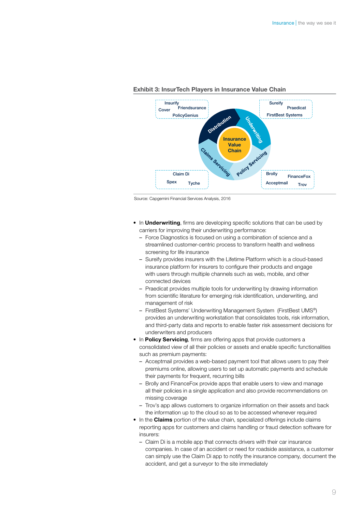

#### Exhibit 3: InsurTech Players in Insurance Value Chain

Source: Capgemini Financial Services Analysis, 2016

- In **Underwriting**, firms are developing specific solutions that can be used by carriers for improving their underwriting performance:
	- Force Diagnostics is focused on using a combination of science and a streamlined customer-centric process to transform health and wellness screening for life insurance
	- Sureify provides insurers with the Lifetime Platform which is a cloud-based insurance platform for insurers to configure their products and engage with users through multiple channels such as web, mobile, and other connected devices
	- Praedicat provides multiple tools for underwriting by drawing information from scientific literature for emerging risk identification, underwriting, and management of risk
	- FirstBest Systems' Underwriting Management System (FirstBest UMS®) provides an underwriting workstation that consolidates tools, risk information, and third-party data and reports to enable faster risk assessment decisions for underwriters and producers
- In Policy Servicing, firms are offering apps that provide customers a consolidated view of all their policies or assets and enable specific functionalities such as premium payments:
	- Acceptmail provides a web-based payment tool that allows users to pay their premiums online, allowing users to set up automatic payments and schedule their payments for frequent, recurring bills
	- Brolly and FinanceFox provide apps that enable users to view and manage all their policies in a single application and also provide recommendations on missing coverage
	- Trov's app allows customers to organize information on their assets and back the information up to the cloud so as to be accessed whenever required
- In the **Claims** portion of the value chain, specialized offerings include claims reporting apps for customers and claims handling or fraud detection software for insurers:
	- Claim Di is a mobile app that connects drivers with their car insurance companies. In case of an accident or need for roadside assistance, a customer can simply use the Claim Di app to notify the insurance company, document the accident, and get a surveyor to the site immediately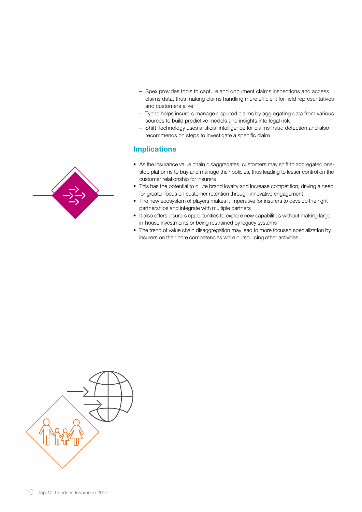- Spex provides tools to capture and document claims inspections and access claims data, thus making claims handling more efficient for field representatives and customers alike
- Tyche helps insurers manage disputed claims by aggregating data from various sources to build predictive models and insights into legal risk
- Shift Technology uses artificial intelligence for claims fraud detection and also recommends on steps to investigate a specific claim

- As the insurance value chain disaggregates, customers may shift to aggregated onestop platforms to buy and manage their policies, thus leading to lesser control on the customer relationship for insurers
- This has the potential to dilute brand loyalty and increase competition, driving a need for greater focus on customer retention through innovative engagement
- The new ecosystem of players makes it imperative for insurers to develop the right partnerships and integrate with multiple partners
- It also offers insurers opportunities to explore new capabilities without making large in-house investments or being restrained by legacy systems
- The trend of value chain disaggregation may lead to more focused specialization by insurers on their core competencies while outsourcing other activities



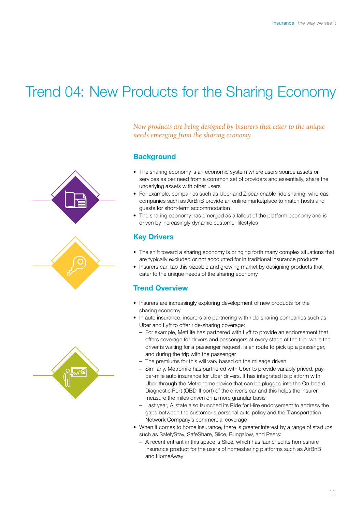## <span id="page-10-0"></span>Trend 04: New Products for the Sharing Economy





*New products are being designed by insurers that cater to the unique needs emerging from the sharing economy*

## **Background**

- The sharing economy is an economic system where users source assets or services as per need from a common set of providers and essentially, share the underlying assets with other users
- For example, companies such as Uber and Zipcar enable ride sharing, whereas companies such as AirBnB provide an online marketplace to match hosts and guests for short-term accommodation
- The sharing economy has emerged as a fallout of the platform economy and is driven by increasingly dynamic customer lifestyles

## Key Drivers

- The shift toward a sharing economy is bringing forth many complex situations that are typically excluded or not accounted for in traditional insurance products
- Insurers can tap this sizeable and growing market by designing products that cater to the unique needs of the sharing economy

## Trend Overview

- Insurers are increasingly exploring development of new products for the sharing economy
- In auto insurance, insurers are partnering with ride-sharing companies such as Uber and Lyft to offer ride-sharing coverage:
	- For example, MetLife has partnered with Lyft to provide an endorsement that offers coverage for drivers and passengers at every stage of the trip: while the driver is waiting for a passenger request, is en route to pick up a passenger, and during the trip with the passenger
	- The premiums for this will vary based on the mileage driven
	- Similarly, Metromile has partnered with Uber to provide variably priced, payper-mile auto insurance for Uber drivers. It has integrated its platform with Uber through the Metronome device that can be plugged into the On-board Diagnostic Port (OBD-II port) of the driver's car and this helps the insurer measure the miles driven on a more granular basis
	- Last year, Allstate also launched its Ride for Hire endorsement to address the gaps between the customer's personal auto policy and the Transportation Network Company's commercial coverage
- When it comes to home insurance, there is greater interest by a range of startups such as SafelyStay, SafeShare, Slice, Bungalow, and Peers:
	- A recent entrant in this space is Slice, which has launched its homeshare insurance product for the users of homesharing platforms such as AirBnB and HomeAway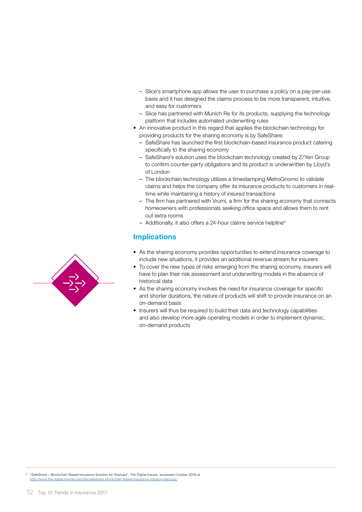- Slice's smartphone app allows the user to purchase a policy on a pay-per-use basis and it has designed the claims process to be more transparent, intuitive, and easy for customers
- Slice has partnered with Munich Re for its products, supplying the technology platform that includes automated underwriting rules
- An innovative product in this regard that applies the blockchain technology for providing products for the sharing economy is by SafeShare:
	- SafeShare has launched the first blockchain-based insurance product catering specifically to the sharing economy
	- SafeShare's solution uses the blockchain technology created by Z/Yen Group to confirm counter-party obligations and its product is underwritten by Lloyd's of London
	- The blockchain technology utilizes a timestamping MetroGnomo to validate claims and helps the company offer its insurance products to customers in realtime while maintaining a history of insured transactions
	- The firm has partnered with Vrumi, a firm for the sharing economy that connects homeowners with professionals seeking office space and allows them to rent out extra rooms
	- $-$  Additionally, it also offers a 24-hour claims service helpline $6$

- As the sharing economy provides opportunities to extend insurance coverage to include new situations, it provides an additional revenue stream for insurers
- To cover the new types of risks emerging from the sharing economy, insurers will have to plan their risk assessment and underwriting models in the absence of historical data
- As the sharing economy involves the need for insurance coverage for specific and shorter durations, the nature of products will shift to provide insurance on an on-demand basis
- Insurers will thus be required to build their data and technology capabilities and also develop more agile operating models in order to implement dynamic, on-demand products



<sup>6</sup> "SafeShare – Blockchain Based Insurance Solution for Startups", The Digital Insurer, accessed October 2016 at <http://www.the-digital-insurer.com/dia/safeshare-blockchain-based-insurance-solution-startups/>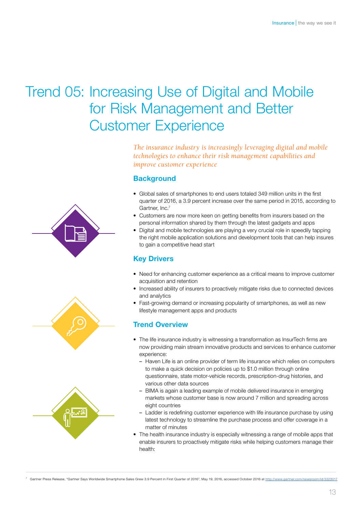## <span id="page-12-0"></span>Trend 05: Increasing Use of Digital and Mobile for Risk Management and Better Customer Experience

*The insurance industry is increasingly leveraging digital and mobile technologies to enhance their risk management capabilities and improve customer experience*

## **Background**

- Global sales of smartphones to end users totaled 349 million units in the first quarter of 2016, a 3.9 percent increase over the same period in 2015, according to Gartner, Inc.<sup>7</sup>
- Customers are now more keen on getting benefits from insurers based on the personal information shared by them through the latest gadgets and apps
- Digital and mobile technologies are playing a very crucial role in speedily tapping the right mobile application solutions and development tools that can help insures to gain a competitive head start

## Key Drivers

- Need for enhancing customer experience as a critical means to improve customer acquisition and retention
- Increased ability of insurers to proactively mitigate risks due to connected devices and analytics
- Fast-growing demand or increasing popularity of smartphones, as well as new lifestyle management apps and products

## Trend Overview

- The life insurance industry is witnessing a transformation as InsurTech firms are now providing main stream innovative products and services to enhance customer experience:
	- Haven Life is an online provider of term life insurance which relies on computers to make a quick decision on policies up to \$1.0 million through online questionnaire, state motor-vehicle records, prescription-drug histories, and various other data sources
	- BIMA is again a leading example of mobile delivered insurance in emerging markets whose customer base is now around 7 million and spreading across eight countries
	- Ladder is redefining customer experience with life insurance purchase by using latest technology to streamline the purchase process and offer coverage in a matter of minutes
- The health insurance industry is especially witnessing a range of mobile apps that enable insurers to proactively mitigate risks while helping customers manage their health:





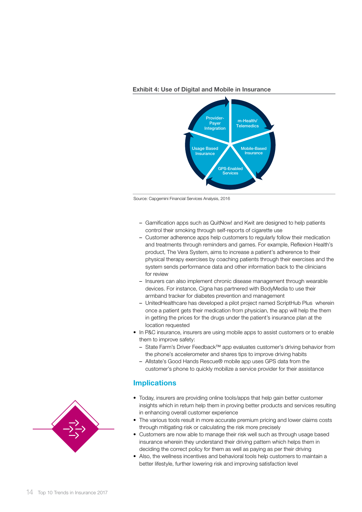



Source: Capgemini Financial Services Analysis, 2016

- Gamification apps such as QuitNow! and Kwit are designed to help patients control their smoking through self-reports of cigarette use
- Customer adherence apps help customers to regularly follow their medication and treatments through reminders and games. For example, Reflexion Health's product, The Vera System, aims to increase a patient's adherence to their physical therapy exercises by coaching patients through their exercises and the system sends performance data and other information back to the clinicians for review
- Insurers can also implement chronic disease management through wearable devices. For instance, Cigna has partnered with BodyMedia to use their armband tracker for diabetes prevention and management
- UnitedHealthcare has developed a pilot project named ScriptHub Plus wherein once a patient gets their medication from physician, the app will help the them in getting the prices for the drugs under the patient's insurance plan at the location requested
- In P&C insurance, insurers are using mobile apps to assist customers or to enable them to improve safety:
	- State Farm's Driver Feedback™ app evaluates customer's driving behavior from the phone's accelerometer and shares tips to improve driving habits
	- Allstate's Good Hands Rescue® mobile app uses GPS data from the customer's phone to quickly mobilize a service provider for their assistance

- Today, insurers are providing online tools/apps that help gain better customer insights which in return help them in proving better products and services resulting in enhancing overall customer experience
- The various tools result in more accurate premium pricing and lower claims costs through mitigating risk or calculating the risk more precisely
- Customers are now able to manage their risk well such as through usage based insurance wherein they understand their driving pattern which helps them in deciding the correct policy for them as well as paying as per their driving
- Also, the wellness incentives and behavioral tools help customers to maintain a better lifestyle, further lowering risk and improving satisfaction level

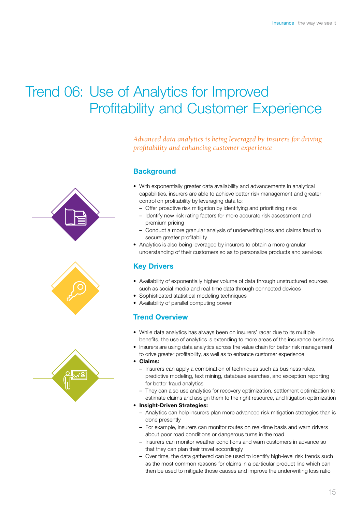## <span id="page-14-0"></span>Trend 06: Use of Analytics for Improved Profitability and Customer Experience

*Advanced data analytics is being leveraged by insurers for driving profitability and enhancing customer experience*

## **Background**

- With exponentially greater data availability and advancements in analytical capabilities, insurers are able to achieve better risk management and greater control on profitability by leveraging data to:
	- Offer proactive risk mitigation by identifying and prioritizing risks
	- Identify new risk rating factors for more accurate risk assessment and premium pricing
	- Conduct a more granular analysis of underwriting loss and claims fraud to secure greater profitability
- Analytics is also being leveraged by insurers to obtain a more granular understanding of their customers so as to personalize products and services

## Key Drivers

- Availability of exponentially higher volume of data through unstructured sources such as social media and real-time data through connected devices
- Sophisticated statistical modeling techniques
- Availability of parallel computing power

## Trend Overview

- While data analytics has always been on insurers' radar due to its multiple benefits, the use of analytics is extending to more areas of the insurance business
- Insurers are using data analytics across the value chain for better risk management to drive greater profitability, as well as to enhance customer experience

#### • Claims:

- Insurers can apply a combination of techniques such as business rules, predictive modeling, text mining, database searches, and exception reporting for better fraud analytics
- They can also use analytics for recovery optimization, settlement optimization to estimate claims and assign them to the right resource, and litigation optimization

#### • Insight-Driven Strategies:

- Analytics can help insurers plan more advanced risk mitigation strategies than is done presently
- For example, insurers can monitor routes on real-time basis and warn drivers about poor road conditions or dangerous turns in the road
- Insurers can monitor weather conditions and warn customers in advance so that they can plan their travel accordingly
- Over time, the data gathered can be used to identify high-level risk trends such as the most common reasons for claims in a particular product line which can then be used to mitigate those causes and improve the underwriting loss ratio



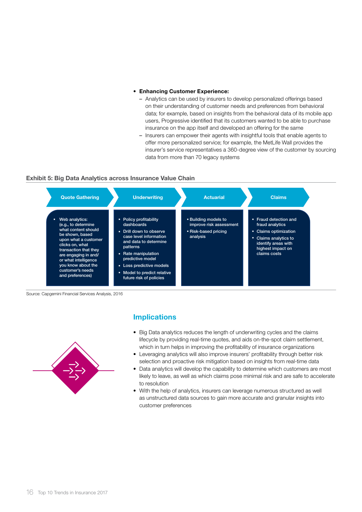#### • Enhancing Customer Experience:

- Analytics can be used by insurers to develop personalized offerings based on their understanding of customer needs and preferences from behavioral data; for example, based on insights from the behavioral data of its mobile app users, Progressive identified that its customers wanted to be able to purchase insurance on the app itself and developed an offering for the same
- Insurers can empower their agents with insightful tools that enable agents to offer more personalized service; for example, the MetLife Wall provides the insurer's service representatives a 360-degree view of the customer by sourcing data from more than 70 legacy systems

#### Exhibit 5: Big Data Analytics across Insurance Value Chain



Source: Capgemini Financial Services Analysis, 2016



- Big Data analytics reduces the length of underwriting cycles and the claims lifecycle by providing real-time quotes, and aids on-the-spot claim settlement, which in turn helps in improving the profitability of insurance organizations
- Leveraging analytics will also improve insurers' profitability through better risk selection and proactive risk mitigation based on insights from real-time data
- Data analytics will develop the capability to determine which customers are most likely to leave, as well as which claims pose minimal risk and are safe to accelerate to resolution
- With the help of analytics, insurers can leverage numerous structured as well as unstructured data sources to gain more accurate and granular insights into customer preferences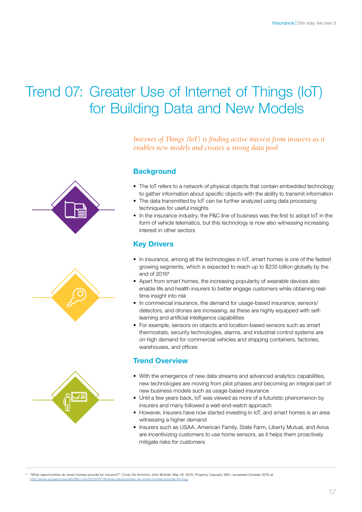## <span id="page-16-0"></span>Trend 07: Greater Use of Internet of Things (IoT) for Building Data and New Models

*Internet of Things (IoT) is finding active interest from insurers as it enables new models and creates a strong data pool*

## **Background**

- The IoT refers to a network of physical objects that contain embedded technology to gather information about specific objects with the ability to transmit information
- The data transmitted by IoT can be further analyzed using data processing techniques for useful insights
- In the insurance industry, the P&C line of business was the first to adopt IoT in the form of vehicle telematics, but this technology is now also witnessing increasing interest in other sectors

## Key Drivers

- In insurance, among all the technologies in IoT, smart homes is one of the fastest growing segments, which is expected to reach up to \$235 billion globally by the end of  $2016^8$
- Apart from smart homes, the increasing popularity of wearable devices also enable life and health insurers to better engage customers while obtaining realtime insight into risk
- In commercial insurance, the demand for usage-based insurance, sensors/ detectors, and drones are increasing, as these are highly equipped with selflearning and artificial intelligence capabilities
- For example, sensors on objects and location-based sensors such as smart thermostats, security technologies, alarms, and industrial control systems are on high demand for commercial vehicles and shipping containers, factories, warehouses, and offices

## Trend Overview

- With the emergence of new data streams and advanced analytics capabilities, new technologies are moving from pilot phases and becoming an integral part of new business models such as usage-based insurance
- Until a few years back, IoT was viewed as more of a futuristic phenomenon by insurers and many followed a wait-and-watch approach
- However, insurers have now started investing in IoT, and smart homes is an area witnessing a higher demand
- Insurers such as USAA, American Family, State Farm, Liberty Mutual, and Aviva are incentivizing customers to use home sensors, as it helps them proactively mitigate risks for customers

<sup>8</sup> "What opportunities do smart homes provide for insurers?", Cindy De Armond, John Mulhall, May 18, 2015, Property Casualty 360<sup>0</sup>, accessed October 2016 at [http://www.propertycasualty360.com/2015/05/18/what-opportunities-do-smart-homes-provide-for-insu](http://www.propertycasualty360.com/2015/05/18/what-opportunities-do-smart-homes-provide-for-insu?slreturn=1480493658)

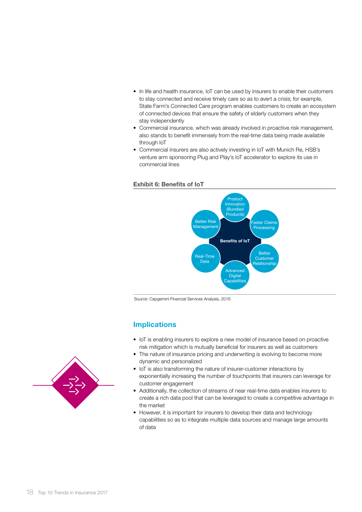- In life and health insurance, IoT can be used by insurers to enable their customers to stay connected and receive timely care so as to avert a crisis; for example, State Farm's Connected Care program enables customers to create an ecosystem of connected devices that ensure the safety of elderly customers when they stay independently
- Commercial insurance, which was already involved in proactive risk management, also stands to benefit immensely from the real-time data being made available through IoT
- Commercial insurers are also actively investing in IoT with Munich Re, HSB's venture arm sponsoring Plug and Play's IoT accelerator to explore its use in commercial lines

#### Exhibit 6: Benefits of IoT



Source: Capgemini Financial Services Analysis, 2016

- IoT is enabling insurers to explore a new model of insurance based on proactive risk mitigation which is mutually beneficial for insurers as well as customers
- The nature of insurance pricing and underwriting is evolving to become more dynamic and personalized
- IoT is also transforming the nature of insurer-customer interactions by exponentially increasing the number of touchpoints that insurers can leverage for customer engagement
- Additionally, the collection of streams of near real-time data enables insurers to create a rich data pool that can be leveraged to create a competitive advantage in the market
- However, it is important for insurers to develop their data and technology capabilities so as to integrate multiple data sources and manage large amounts of data

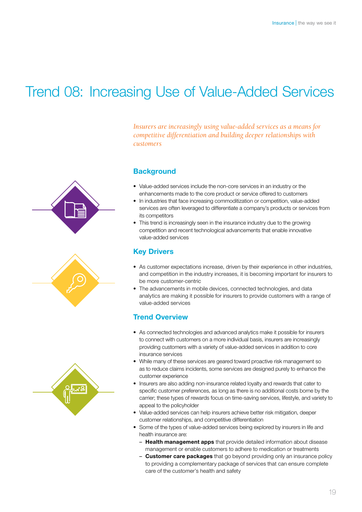## <span id="page-18-0"></span>Trend 08: Increasing Use of Value-Added Services







## *Insurers are increasingly using value-added services as a means for competitive differentiation and building deeper relationships with customers*

## **Background**

- Value-added services include the non-core services in an industry or the enhancements made to the core product or service offered to customers
- In industries that face increasing commoditization or competition, value-added services are often leveraged to differentiate a company's products or services from its competitors
- This trend is increasingly seen in the insurance industry due to the growing competition and recent technological advancements that enable innovative value-added services

## Key Drivers

- As customer expectations increase, driven by their experience in other industries, and competition in the industry increases, it is becoming important for insurers to be more customer-centric
- The advancements in mobile devices, connected technologies, and data analytics are making it possible for insurers to provide customers with a range of value-added services

## Trend Overview

- As connected technologies and advanced analytics make it possible for insurers to connect with customers on a more individual basis, insurers are increasingly providing customers with a variety of value-added services in addition to core insurance services
- While many of these services are geared toward proactive risk management so as to reduce claims incidents, some services are designed purely to enhance the customer experience
- Insurers are also adding non-insurance related loyalty and rewards that cater to specific customer preferences, as long as there is no additional costs borne by the carrier; these types of rewards focus on time-saving services, lifestyle, and variety to appeal to the policyholder
- Value-added services can help insurers achieve better risk mitigation, deeper customer relationships, and competitive differentiation
- Some of the types of value-added services being explored by insurers in life and health insurance are:
	- Health management apps that provide detailed information about disease management or enable customers to adhere to medication or treatments
	- **Customer care packages** that go beyond providing only an insurance policy to providing a complementary package of services that can ensure complete care of the customer's health and safety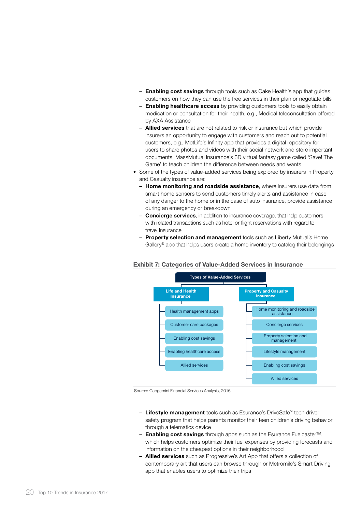- **Enabling cost savings** through tools such as Cake Health's app that guides customers on how they can use the free services in their plan or negotiate bills
- Enabling healthcare access by providing customers tools to easily obtain medication or consultation for their health, e.g., Medical teleconsultation offered by AXA Assistance
- **Allied services** that are not related to risk or insurance but which provide insurers an opportunity to engage with customers and reach out to potential customers, e.g., MetLife's Infinity app that provides a digital repository for users to share photos and videos with their social network and store important documents, MassMutual Insurance's 3D virtual fantasy game called 'Save! The Game' to teach children the difference between needs and wants
- Some of the types of value-added services being explored by insurers in Property and Casualty insurance are:
	- Home monitoring and roadside assistance, where insurers use data from smart home sensors to send customers timely alerts and assistance in case of any danger to the home or in the case of auto insurance, provide assistance during an emergency or breakdown
	- Concierge services, in addition to insurance coverage, that help customers with related transactions such as hotel or flight reservations with regard to travel insurance
	- Property selection and management tools such as Liberty Mutual's Home Gallery® app that helps users create a home inventory to catalog their belongings

### Exhibit 7: Categories of Value-Added Services in Insurance



Source: Capgemini Financial Services Analysis, 2016

- Lifestyle management tools such as Esurance's DriveSafe™ teen driver safety program that helps parents monitor their teen children's driving behavior through a telematics device
- Enabling cost savings through apps such as the Esurance Fuelcaster™, which helps customers optimize their fuel expenses by providing forecasts and information on the cheapest options in their neighborhood
- **Allied services** such as Progressive's Art App that offers a collection of contemporary art that users can browse through or Metromile's Smart Driving app that enables users to optimize their trips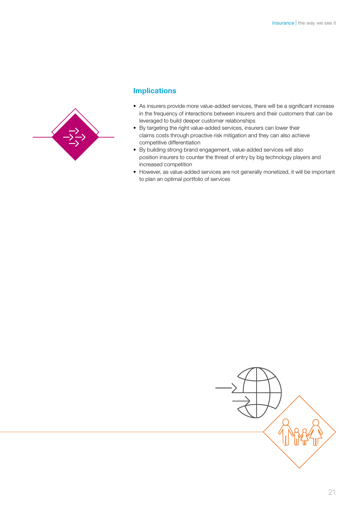

- As insurers provide more value-added services, there will be a significant increase in the frequency of interactions between insurers and their customers that can be leveraged to build deeper customer relationships
- By targeting the right value-added services, insurers can lower their claims costs through proactive risk mitigation and they can also achieve competitive differentiation
- By building strong brand engagement, value-added services will also position insurers to counter the threat of entry by big technology players and increased competition
- However, as value-added services are not generally monetized, it will be important to plan an optimal portfolio of services

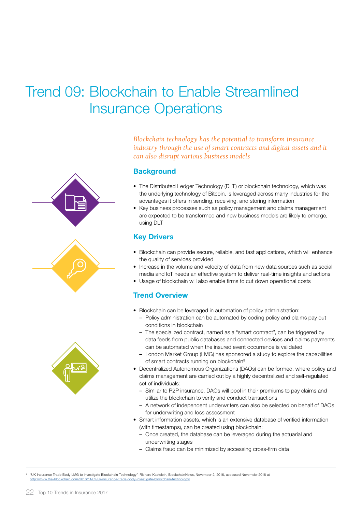## <span id="page-21-0"></span>Trend 09: Blockchain to Enable Streamlined Insurance Operations



*Blockchain technology has the potential to transform insurance industry through the use of smart contracts and digital assets and it can also disrupt various business models*

### **Background**

- The Distributed Ledger Technology (DLT) or blockchain technology, which was the underlying technology of Bitcoin, is leveraged across many industries for the advantages it offers in sending, receiving, and storing information
- Key business processes such as policy management and claims management are expected to be transformed and new business models are likely to emerge, using DLT

## **Key Drivers**

- Blockchain can provide secure, reliable, and fast applications, which will enhance the quality of services provided
- Increase in the volume and velocity of data from new data sources such as social media and IoT needs an effective system to deliver real-time insights and actions
- Usage of blockchain will also enable firms to cut down operational costs

## Trend Overview

- Blockchain can be leveraged in automation of policy administration:
	- Policy administration can be automated by coding policy and claims pay out conditions in blockchain
	- The specialized contract, named as a "smart contract", can be triggered by data feeds from public databases and connected devices and claims payments can be automated when the insured event occurrence is validated
	- London Market Group (LMG) has sponsored a study to explore the capabilities of smart contracts running on blockchain<sup>9</sup>
- Decentralized Autonomous Organizations (DAOs) can be formed, where policy and claims management are carried out by a highly decentralized and self-regulated set of individuals:
	- Similar to P2P insurance, DAOs will pool in their premiums to pay claims and utilize the blockchain to verify and conduct transactions
	- A network of independent underwriters can also be selected on behalf of DAOs for underwriting and loss assessment
- Smart information assets, which is an extensive database of verified information (with timestamps), can be created using blockchain:
	- Once created, the database can be leveraged during the actuarial and underwriting stages
	- Claims fraud can be minimized by accessing cross-firm data

<sup>9</sup> "UK Insurance Trade Body LMG to Investigate Blockchain Technology", Richard Kastelein, BlockchainNews, November 2, 2016, accessed Novemebr 2016 at <http://www.the-blockchain.com/2016/11/02/uk-insurance-trade-body-investigate-blockchain-technology/>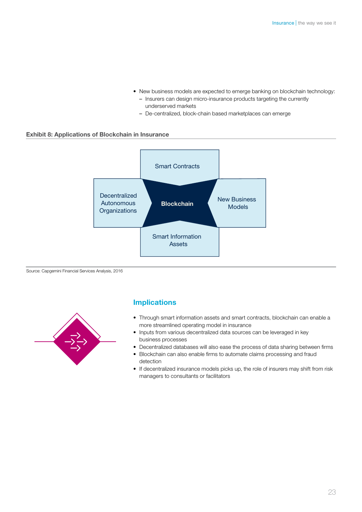- New business models are expected to emerge banking on blockchain technology:
	- Insurers can design micro-insurance products targeting the currently underserved markets
	- De-centralized, block-chain based marketplaces can emerge

#### Exhibit 8: Applications of Blockchain in Insurance



Source: Capgemini Financial Services Analysis, 2016



- Through smart information assets and smart contracts, blockchain can enable a more streamlined operating model in insurance
- Inputs from various decentralized data sources can be leveraged in key business processes
- Decentralized databases will also ease the process of data sharing between firms
- Blockchain can also enable firms to automate claims processing and fraud detection
- If decentralized insurance models picks up, the role of insurers may shift from risk managers to consultants or facilitators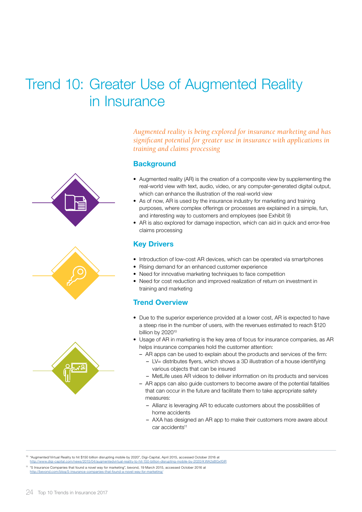## <span id="page-23-0"></span>Trend 10: Greater Use of Augmented Reality in Insurance





*Augmented reality is being explored for insurance marketing and has significant potential for greater use in insurance with applications in training and claims processing* 

## **Background**

- Augmented reality (AR) is the creation of a composite view by supplementing the real-world view with text, audio, video, or any computer-generated digital output, which can enhance the illustration of the real-world view
- As of now, AR is used by the insurance industry for marketing and training purposes, where complex offerings or processes are explained in a simple, fun, and interesting way to customers and employees (see Exhibit 9)
- AR is also explored for damage inspection, which can aid in quick and error-free claims processing

## Key Drivers

- Introduction of low-cost AR devices, which can be operated via smartphones
- Rising demand for an enhanced customer experience
- Need for innovative marketing techniques to face competition
- Need for cost reduction and improved realization of return on investment in training and marketing

## Trend Overview

- Due to the superior experience provided at a lower cost, AR is expected to have a steep rise in the number of users, with the revenues estimated to reach \$120 billion by 2020<sup>10</sup>
- Usage of AR in marketing is the key area of focus for insurance companies, as AR helps insurance companies hold the customer attention:
	- AR apps can be used to explain about the products and services of the firm:
		- LV= distributes flyers, which shows a 3D illustration of a house identifying various objects that can be insured
		- MetLife uses AR videos to deliver information on its products and services
	- AR apps can also guide customers to become aware of the potential fatalities that can occur in the future and facilitate them to take appropriate safety measures:
		- Allianz is leveraging AR to educate customers about the possibilities of home accidents
		- AXA has designed an AR app to make their customers more aware about car accidents<sup>11</sup>

<sup>10</sup> "Augmented/Virtual Reality to hit \$150 billion disrupting mobile by 2020", Digi-Capital, April 2015, accessed October 2016 at http://www.digi-capital.com/news/2015/04/augmentedvirtual-reality-to-hit-150-billion-d

<sup>11</sup> "5 Insurance Companies that found a novel way for marketing", bevond, 19 March 2015, accessed October 2016 at /blog/5-insurance-companies-that-found-a-novel-way-for-marketing/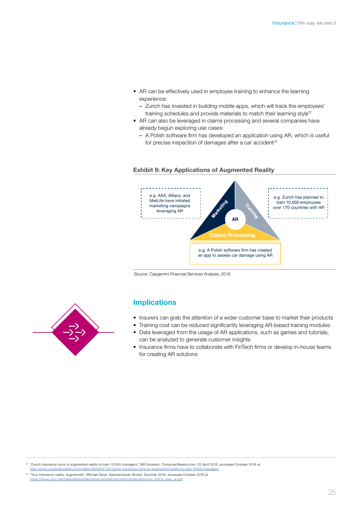- AR can be effectively used in employee training to enhance the learning experience:
	- Zurich has invested in building mobile apps, which will track the employees' training schedules and provide materials to match their learning style<sup>12</sup>
- AR can also be leveraged in claims processing and several companies have already begun exploring use cases:
	- A Polish software firm has developed an application using AR, which is useful for precise inspection of damages after a car accident $13$



#### Exhibit 9: Key Applications of Augmented Reality

Source: Capgemini Financial Services Analysis, 2016

### Implications

- Insurers can grab the attention of a wider customer base to market their products
- Training cost can be reduced significantly leveraging AR-based training modules • Data leveraged from the usage of AR applications, such as games and tutorials,
- can be analyzed to generate customer insights • Insurance firms have to collaborate with FinTech firms or develop in-house teams for creating AR solutions

<sup>12</sup> "Zurich Insurance turns to augmented reality to train 10,000 managers", Bill Goodwin, ComputerWeekly.com, 22 April 2015, accessed October 2016 at http://www.computerweekly.com/news/4500244733/Zurich-Insurance-turns-to-augmented-reality-to-train-

<sup>13</sup> "Your insurance reality, augmented", Michael Spiar, Saskatchewan Broker, Summer 2016, accessed October 2016 at [https://www.csio.com/sites/default/files/legacy/assets/docs/articles/english/csio\\_article\\_ibas\\_ar.pdf](https://www.csio.com/sites/default/files/legacy/assets/docs/articles/english/csio_article_ibas_ar.pdf)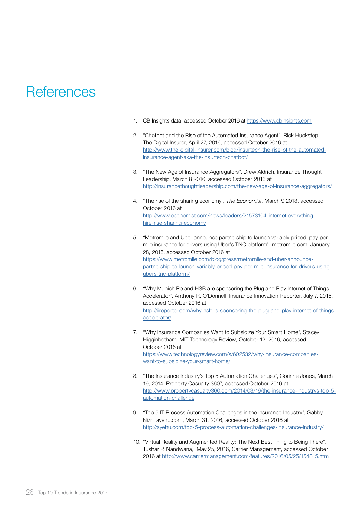## <span id="page-25-0"></span>**References**

- 1. CB Insights data, accessed October 2016 at<https://www.cbinsights.com>
- 2. "Chatbot and the Rise of the Automated Insurance Agent", Rick Huckstep, The Digital Insurer, April 27, 2016, accessed October 2016 at [http://www.the-digital-insurer.com/blog/insurtech-the-rise-of-the-automated](http://www.the-digital-insurer.com/blog/insurtech-the-rise-of-the-automated-insurance-agent-aka-the-insurtech-chatbot/)[insurance-agent-aka-the-insurtech-chatbot/](http://www.the-digital-insurer.com/blog/insurtech-the-rise-of-the-automated-insurance-agent-aka-the-insurtech-chatbot/)
- 3. "The New Age of Insurance Aggregators", Drew Aldrich, Insurance Thought Leadership, March 8 2016, accessed October 2016 at <http://insurancethoughtleadership.com/the-new-age-of-insurance-aggregators/>
- 4. "The rise of the sharing economy", *The Economist*, March 9 2013, accessed October 2016 at [http://www.economist.com/news/leaders/21573104-internet-everything](http://www.economist.com/news/leaders/21573104-internet-everything-hire-rise-sharing-economy)[hire-rise-sharing-economy](http://www.economist.com/news/leaders/21573104-internet-everything-hire-rise-sharing-economy)
- 5. "Metromile and Uber announce partnership to launch variably-priced, pay-permile insurance for drivers using Uber's TNC platform", metromile.com, January 28, 2015, accessed October 2016 at [https://www.metromile.com/blog/press/metromile-and-uber-announce](https://www.metromile.com/blog/press/metromile-and-uber-announce-partnership-to-launch-variably-priced-pay-per-mile-insurance-for-drivers-using-ubers-tnc-platform/)[partnership-to-launch-variably-priced-pay-per-mile-insurance-for-drivers-using](https://www.metromile.com/blog/press/metromile-and-uber-announce-partnership-to-launch-variably-priced-pay-per-mile-insurance-for-drivers-using-ubers-tnc-platform/)[ubers-tnc-platform/](https://www.metromile.com/blog/press/metromile-and-uber-announce-partnership-to-launch-variably-priced-pay-per-mile-insurance-for-drivers-using-ubers-tnc-platform/)
- 6. "Why Munich Re and HSB are sponsoring the Plug and Play Internet of Things Accelerator", Anthony R. O'Donnell, Insurance Innovation Reporter, July 7, 2015, accessed October 2016 at [http://iireporter.com/why-hsb-is-sponsoring-the-plug-and-play-internet-of-things](http://iireporter.com/why-hsb-is-sponsoring-the-plug-and-play-internet-of-things-accelerator/)[accelerator/](http://iireporter.com/why-hsb-is-sponsoring-the-plug-and-play-internet-of-things-accelerator/)
- 7. "Why Insurance Companies Want to Subsidize Your Smart Home", Stacey Higginbotham, MIT Technology Review, October 12, 2016, accessed October 2016 at [https://www.technologyreview.com/s/602532/why-insurance-companies](https://www.technologyreview.com/s/602532/why-insurance-companies-want-to-subsidize-your-smart-home/)[want-to-subsidize-your-smart-home/](https://www.technologyreview.com/s/602532/why-insurance-companies-want-to-subsidize-your-smart-home/)
- 8. "The Insurance Industry's Top 5 Automation Challenges", Corinne Jones, March 19, 2014, Property Casualty 360<sup>°</sup>, accessed October 2016 at [http://www.propertycasualty360.com/2014/03/19/the-insurance-industrys-top-5](http://www.propertycasualty360.com/2014/03/19/the-insurance-industrys-top-5-automation-challenge) [automation-challenge](http://www.propertycasualty360.com/2014/03/19/the-insurance-industrys-top-5-automation-challenge)
- 9. "Top 5 IT Process Automation Challenges in the Insurance Industry", Gabby Nizri, ayehu.com, March 31, 2016, accessed October 2016 at <http://ayehu.com/top-5-process-automation-challenges-insurance-industry/>
- 10. "Virtual Reality and Augmented Reality: The Next Best Thing to Being There", Tushar P. Nandwana, May 25, 2016, Carrier Management, accessed October 2016 at <http://www.carriermanagement.com/features/2016/05/25/154815.htm>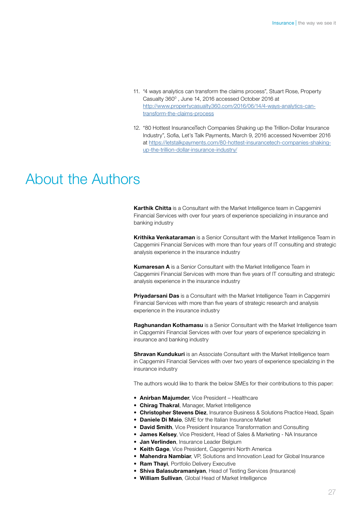- 11. "4 ways analytics can transform the claims process", Stuart Rose, Property Casualty 360<sup>°</sup>, June 14, 2016 accessed October 2016 at [http://www.propertycasualty360.com/2016/06/14/4-ways-analytics-can](http://www.propertycasualty360.com/2016/06/14/4-ways-analytics-can-transform-the-claims-process)[transform-the-claims-process](http://www.propertycasualty360.com/2016/06/14/4-ways-analytics-can-transform-the-claims-process)
- 12. "80 Hottest InsuranceTech Companies Shaking up the Trillion-Dollar Insurance Industry", Sofia, Let's Talk Payments, March 9, 2016 accessed November 2016 at [https://letstalkpayments.com/80-hottest-insurancetech-companies-shaking](https://letstalkpayments.com/80-hottest-insurancetech-companies-shaking-up-the-trillion-dollar-insurance-industry/)[up-the-trillion-dollar-insurance-industry/](https://letstalkpayments.com/80-hottest-insurancetech-companies-shaking-up-the-trillion-dollar-insurance-industry/)

## About the Authors

Karthik Chitta is a Consultant with the Market Intelligence team in Capgemini Financial Services with over four years of experience specializing in insurance and banking industry

Krithika Venkataraman is a Senior Consultant with the Market Intelligence Team in Capgemini Financial Services with more than four years of IT consulting and strategic analysis experience in the insurance industry

Kumaresan A is a Senior Consultant with the Market Intelligence Team in Capgemini Financial Services with more than five years of IT consulting and strategic analysis experience in the insurance industry

Priyadarsani Das is a Consultant with the Market Intelligence Team in Capgemini Financial Services with more than five years of strategic research and analysis experience in the insurance industry

Raghunandan Kothamasu is a Senior Consultant with the Market Intelligence team in Capgemini Financial Services with over four years of experience specializing in insurance and banking industry

**Shravan Kundukuri** is an Associate Consultant with the Market Intelligence team in Capgemini Financial Services with over two years of experience specializing in the insurance industry

The authors would like to thank the below SMEs for their contributions to this paper:

- Anirban Maiumder, Vice President Healthcare
- Chirag Thakral, Manager, Market Intelligence
- **Christopher Stevens Diez**, Insurance Business & Solutions Practice Head, Spain
- Daniele Di Maio, SME for the Italian Insurance Market
- David Smith, Vice President Insurance Transformation and Consulting
- James Kelsey, Vice President, Head of Sales & Marketing NA Insurance
- **Jan Verlinden**, Insurance Leader Belgium
- Keith Gage, Vice President, Capgemini North America
- Mahendra Nambiar, VP, Solutions and Innovation Lead for Global Insurance
- **Ram Thayi**, Portfolio Delivery Executive
- Shiva Balasubramanivan, Head of Testing Services (Insurance)
- William Sullivan, Global Head of Market Intelligence